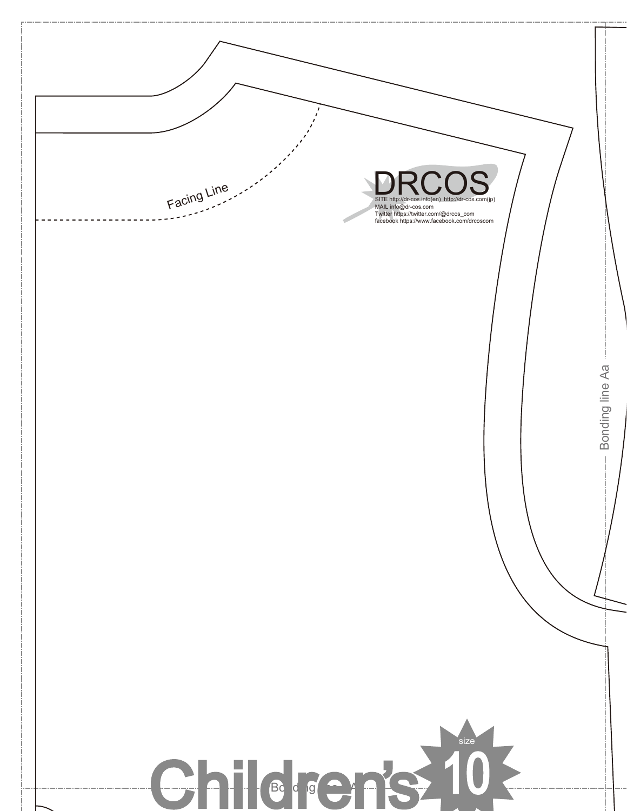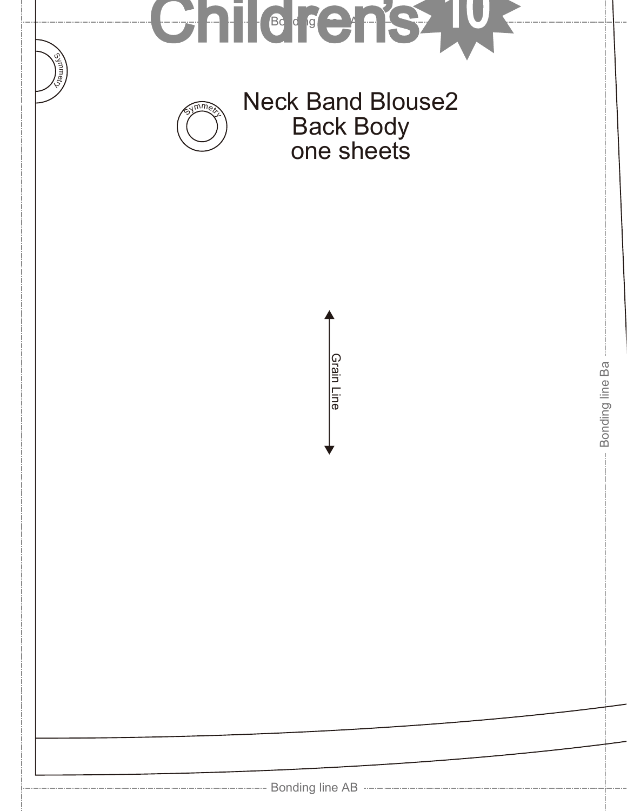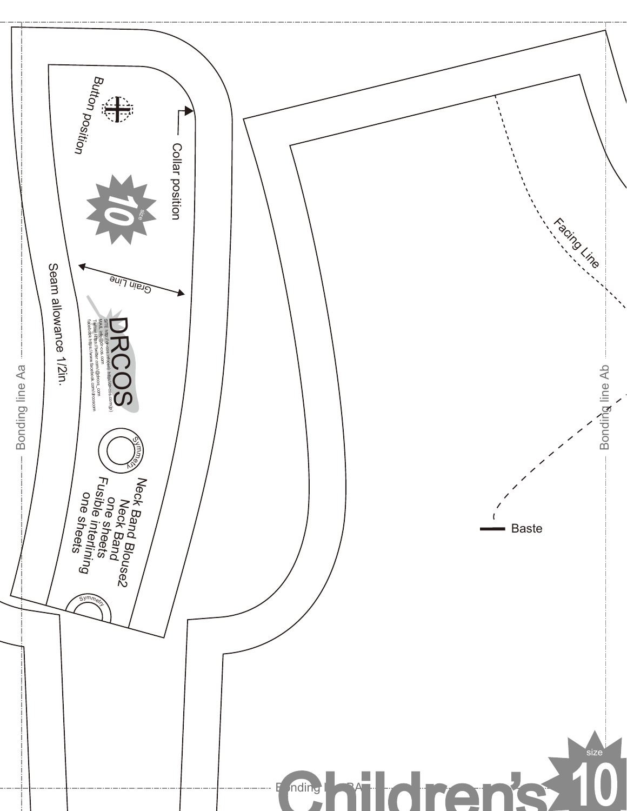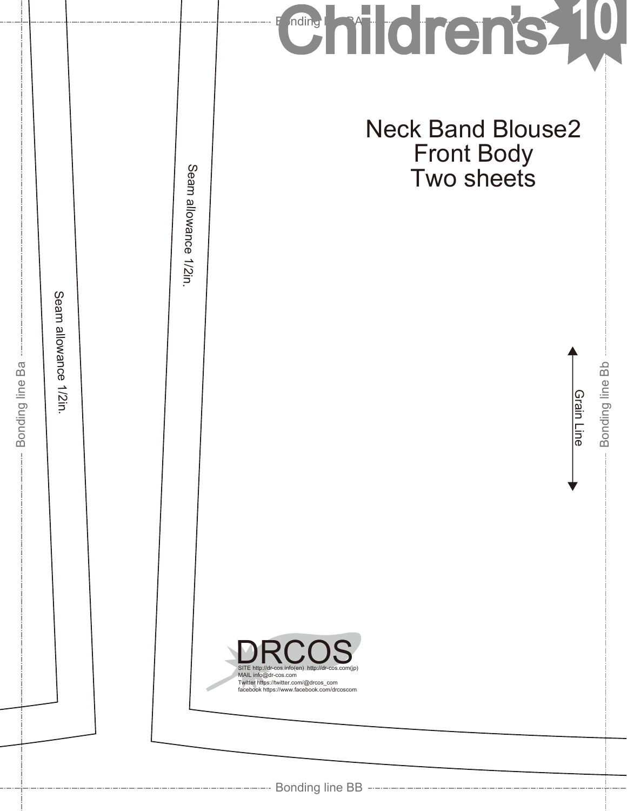|                               |                                 |                          | mildren's<br>nding                                                                                                                                                                |
|-------------------------------|---------------------------------|--------------------------|-----------------------------------------------------------------------------------------------------------------------------------------------------------------------------------|
| Ba<br>Bonding line<br>$\perp$ | Seam allowance<br><b>1/2in.</b> | Seam allowance<br>1/2in. | <b>Neck Band Blouse2</b><br><b>Front Body</b><br>Two sheets<br>Bonding line Bb<br><b>Grain Line</b>                                                                               |
|                               |                                 |                          | <b>DRCOS</b><br>SITE http://dr-cos.info(en) http://dr-cos.com(jp)<br>MAIL info@dr-cos.com<br>Twitter https://twitter.com/@drcos_com<br>facebook https://www.facebook.com/drcoscom |
|                               |                                 |                          |                                                                                                                                                                                   |

 $\dots$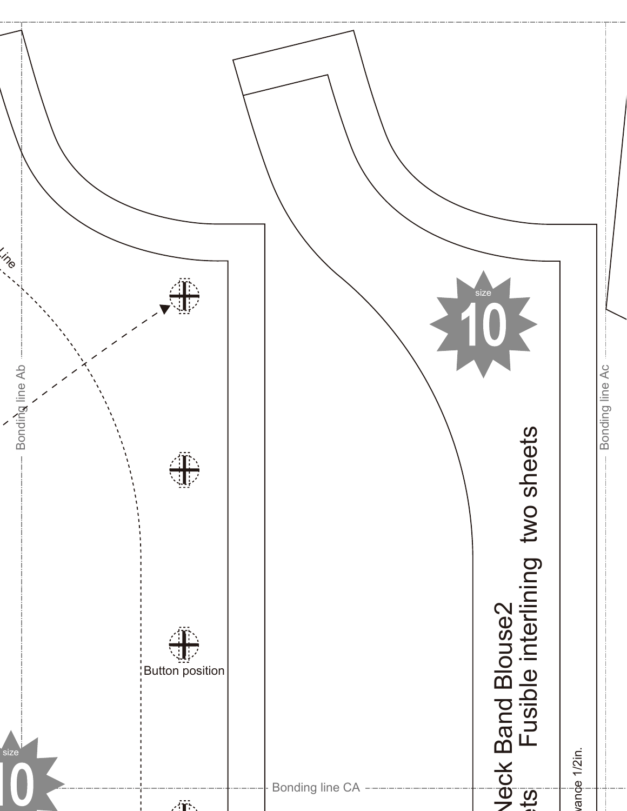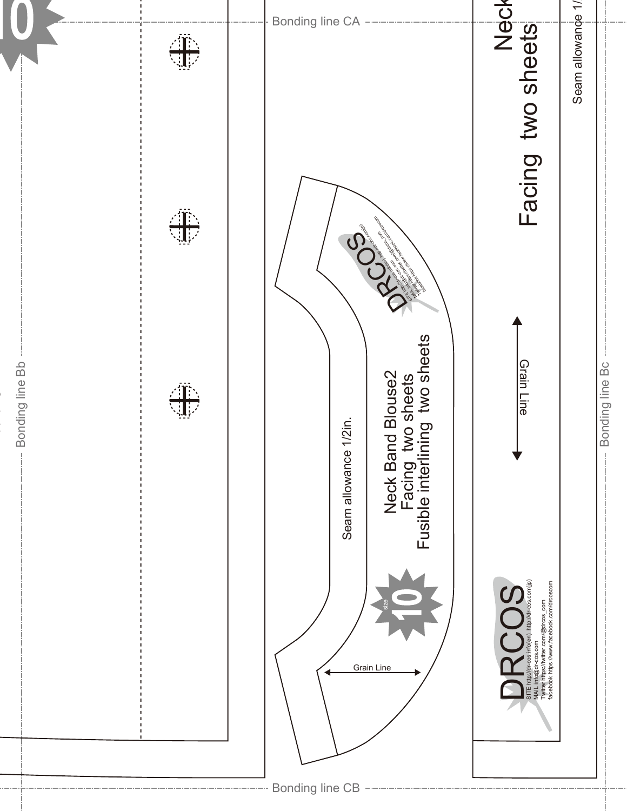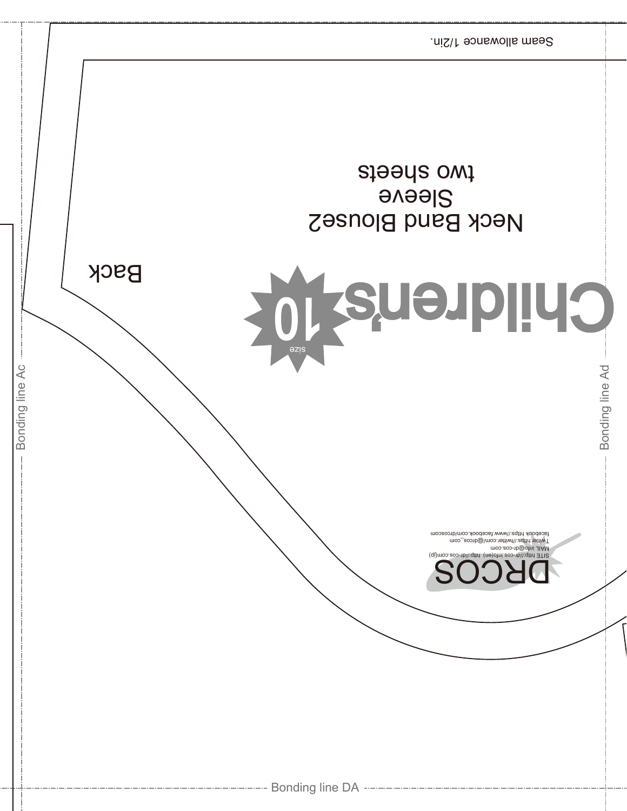